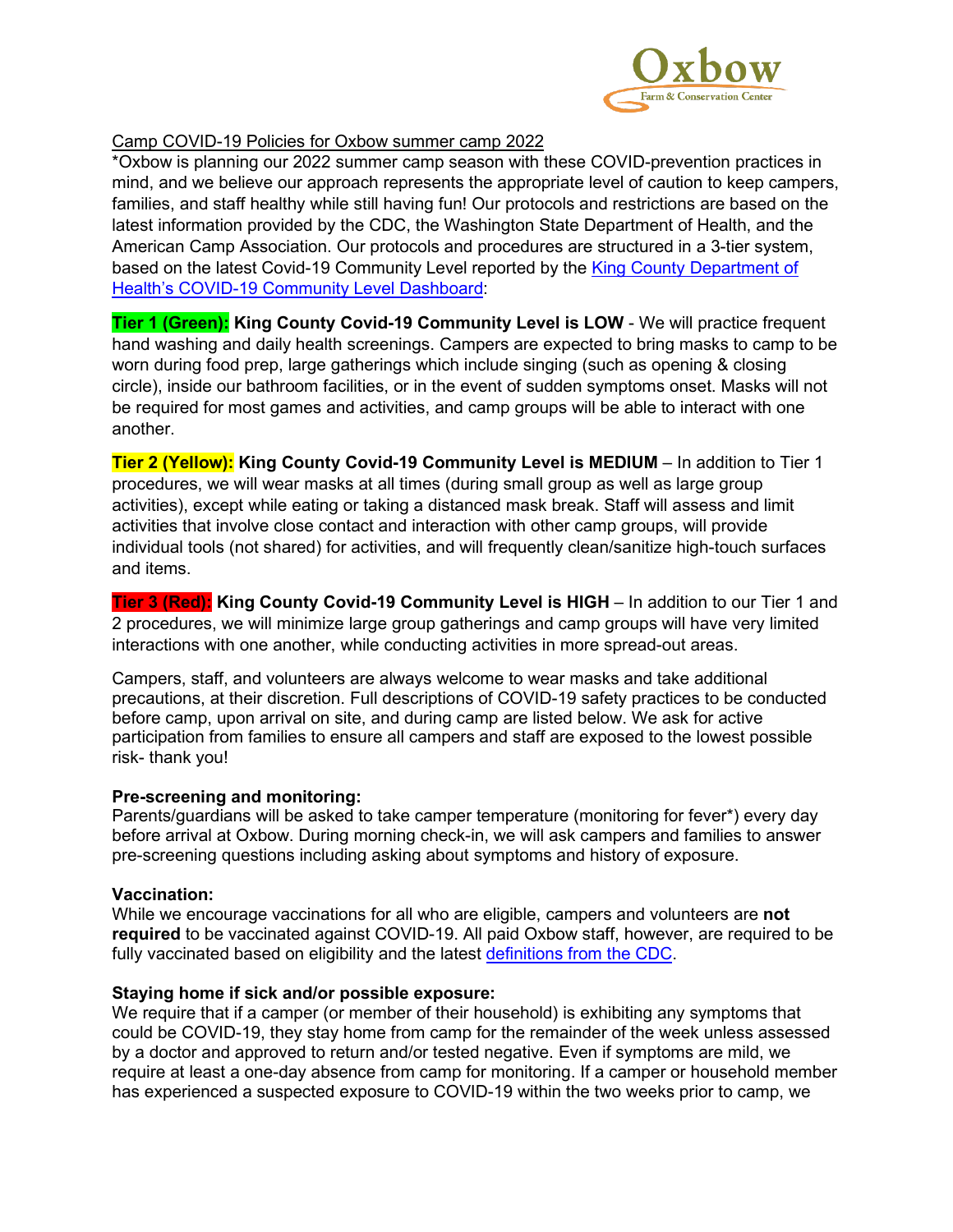

# Camp COVID-19 Policies for Oxbow summer camp 2022

\*Oxbow is planning our 2022 summer camp season with these COVID-prevention practices in mind, and we believe our approach represents the appropriate level of caution to keep campers, families, and staff healthy while still having fun! Our protocols and restrictions are based on the latest information provided by the CDC, the Washington State Department of Health, and the American Camp Association. Our protocols and procedures are structured in a 3-tier system, based on the latest Covid-19 Community Level reported by the [King County Department of](https://kingcounty.gov/depts/health/covid-19/data/community-level.aspx)  [Health's COVID-19 Community Level](https://kingcounty.gov/depts/health/covid-19/data/community-level.aspx) Dashboard:

**Tier 1 (Green): King County Covid-19 Community Level is LOW** - We will practice frequent hand washing and daily health screenings. Campers are expected to bring masks to camp to be worn during food prep, large gatherings which include singing (such as opening & closing circle), inside our bathroom facilities, or in the event of sudden symptoms onset. Masks will not be required for most games and activities, and camp groups will be able to interact with one another.

**Tier 2 (Yellow): King County Covid-19 Community Level is MEDIUM** – In addition to Tier 1 procedures, we will wear masks at all times (during small group as well as large group activities), except while eating or taking a distanced mask break. Staff will assess and limit activities that involve close contact and interaction with other camp groups, will provide individual tools (not shared) for activities, and will frequently clean/sanitize high-touch surfaces and items.

**Tier 3 (Red): King County Covid-19 Community Level is HIGH** – In addition to our Tier 1 and 2 procedures, we will minimize large group gatherings and camp groups will have very limited interactions with one another, while conducting activities in more spread-out areas.

Campers, staff, and volunteers are always welcome to wear masks and take additional precautions, at their discretion. Full descriptions of COVID-19 safety practices to be conducted before camp, upon arrival on site, and during camp are listed below. We ask for active participation from families to ensure all campers and staff are exposed to the lowest possible risk- thank you!

## **Pre-screening and monitoring:**

Parents/guardians will be asked to take camper temperature (monitoring for fever\*) every day before arrival at Oxbow. During morning check-in, we will ask campers and families to answer pre-screening questions including asking about symptoms and history of exposure.

## **Vaccination:**

While we encourage vaccinations for all who are eligible, campers and volunteers are **not required** to be vaccinated against COVID-19. All paid Oxbow staff, however, are required to be fully vaccinated based on eligibility and the latest [definitions from the CDC.](https://www.cdc.gov/coronavirus/2019-ncov/vaccines/stay-up-to-date.html?CDC_AA_refVal=https%3A%2F%2Fwww.cdc.gov%2Fcoronavirus%2F2019-ncov%2Fvaccines%2Ffully-vaccinated.html)

## **Staying home if sick and/or possible exposure:**

We require that if a camper (or member of their household) is exhibiting any symptoms that could be COVID-19, they stay home from camp for the remainder of the week unless assessed by a doctor and approved to return and/or tested negative. Even if symptoms are mild, we require at least a one-day absence from camp for monitoring. If a camper or household member has experienced a suspected exposure to COVID-19 within the two weeks prior to camp, we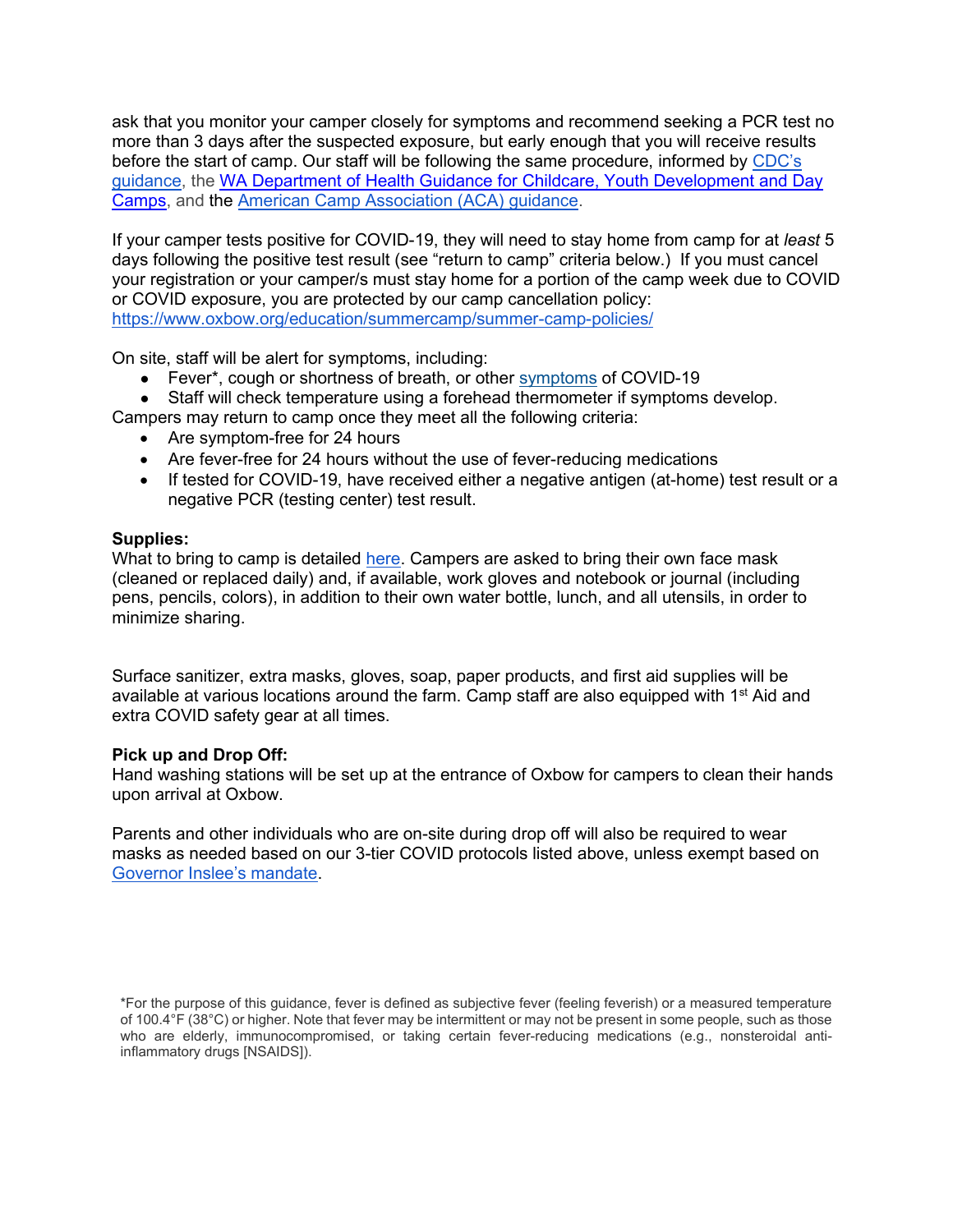ask that you monitor your camper closely for symptoms and recommend seeking a PCR test no more than 3 days after the suspected exposure, but early enough that you will receive results before the start of camp. Our staff will be following the same procedure, informed by [CDC's](https://www.cdc.gov/coronavirus/2019-ncov/php/public-health-recommendations.html)  [guidance,](https://www.cdc.gov/coronavirus/2019-ncov/php/public-health-recommendations.html) the WA Department of Health Guidance [for Childcare, Youth Development and Day](https://www.doh.wa.gov/Portals/1/Documents/1600/coronavirus/DOH-OSPI-DYCF-SchoolsChildCareGuidance.pdf)  [Camps,](https://www.doh.wa.gov/Portals/1/Documents/1600/coronavirus/DOH-OSPI-DYCF-SchoolsChildCareGuidance.pdf) and the [American Camp Association \(ACA\) guidance.](https://www.acacamps.org/resource-library/coronavirus/camp-business/camp-operations-guide-summer-2020)

If your camper tests positive for COVID-19, they will need to stay home from camp for at *least* 5 days following the positive test result (see "return to camp" criteria below.) If you must cancel your registration or your camper/s must stay home for a portion of the camp week due to COVID or COVID exposure, you are protected by our camp cancellation policy[:](https://www.oxbow.org/education/summercamp/summer-camp-policies/) <https://www.oxbow.org/education/summercamp/summer-camp-policies/>

On site, staff will be alert for symptoms, including:

- Fever\*, cough or shortness of breath, or other [symptoms](https://www.cdc.gov/coronavirus/2019-ncov/symptoms-testing/symptoms.html) of COVID-19
- Staff will check temperature using a forehead thermometer if symptoms develop.

Campers may return to camp once they meet all the following criteria:

- Are symptom-free for 24 hours
- Are fever-free for 24 hours without the use of fever-reducing medications
- If tested for COVID-19, have received either a negative antigen (at-home) test result or a negative PCR (testing center) test result.

### **Supplies:**

What to bring to camp is detailed [here.](https://www.oxbow.org/education/summercamp/summer-camp-faq/#bring) Campers are asked to bring their own face mask (cleaned or replaced daily) and, if available, work gloves and notebook or journal (including pens, pencils, colors), in addition to their own water bottle, lunch, and all utensils, in order to minimize sharing.

Surface sanitizer, extra masks, gloves, soap, paper products, and first aid supplies will be available at various locations around the farm. Camp staff are also equipped with 1<sup>st</sup> Aid and extra COVID safety gear at all times.

### **Pick up and Drop Off:**

Hand washing stations will be set up at the entrance of Oxbow for campers to clean their hands upon arrival at Oxbow.

Parents and other individuals who are on-site during drop off will also be required to wear masks as needed based on our 3-tier COVID protocols listed above, unless exempt based on [Governor Inslee's mandate.](https://medium.com/wagovernor/inslee-announces-statewide-mask-mandate-812c9ba7a92)

<sup>\*</sup>For the purpose of this guidance, fever is defined as subjective fever (feeling feverish) or a measured temperature of 100.4°F (38°C) or higher. Note that fever may be intermittent or may not be present in some people, such as those who are elderly, immunocompromised, or taking certain fever-reducing medications (e.g., nonsteroidal antiinflammatory drugs [NSAIDS]).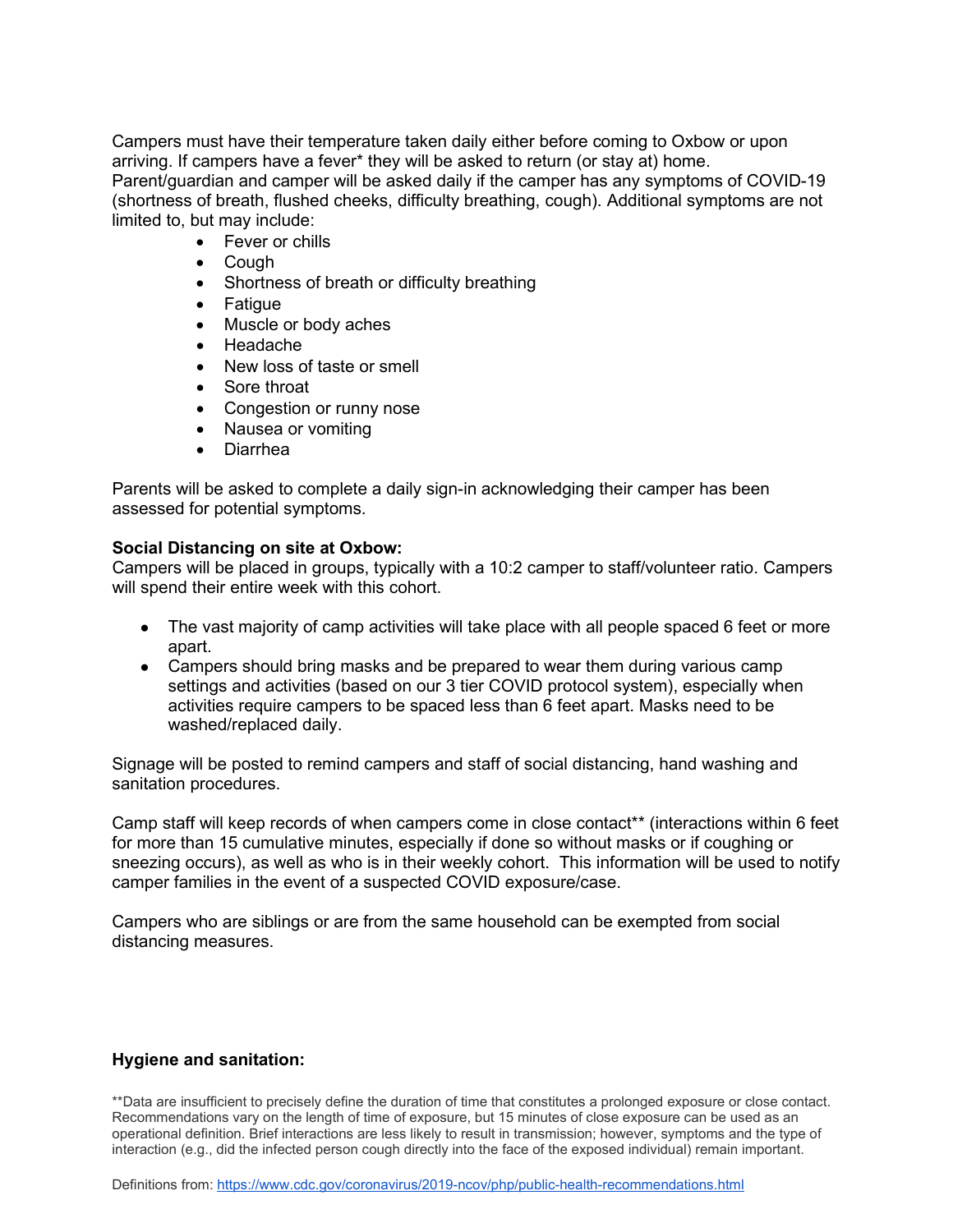Campers must have their temperature taken daily either before coming to Oxbow or upon arriving. If campers have a fever\* they will be asked to return (or stay at) home. Parent/guardian and camper will be asked daily if the camper has any symptoms of COVID-19 (shortness of breath, flushed cheeks, difficulty breathing, cough). Additional symptoms are not limited to, but may include:

- Fever or chills
- Cough
- Shortness of breath or difficulty breathing
- Fatigue
- Muscle or body aches
- Headache
- New loss of taste or smell
- Sore throat
- Congestion or runny nose
- Nausea or vomiting
- Diarrhea

Parents will be asked to complete a daily sign-in acknowledging their camper has been assessed for potential symptoms.

#### **Social Distancing on site at Oxbow:**

Campers will be placed in groups, typically with a 10:2 camper to staff/volunteer ratio. Campers will spend their entire week with this cohort.

- The vast majority of camp activities will take place with all people spaced 6 feet or more apart.
- Campers should bring masks and be prepared to wear them during various camp settings and activities (based on our 3 tier COVID protocol system), especially when activities require campers to be spaced less than 6 feet apart. Masks need to be washed/replaced daily.

Signage will be posted to remind campers and staff of social distancing, hand washing and sanitation procedures.

Camp staff will keep records of when campers come in close contact\*\* (interactions within 6 feet for more than 15 cumulative minutes, especially if done so without masks or if coughing or sneezing occurs), as well as who is in their weekly cohort. This information will be used to notify camper families in the event of a suspected COVID exposure/case.

Campers who are siblings or are from the same household can be exempted from social distancing measures.

### **Hygiene and sanitation:**

\*\*Data are insufficient to precisely define the duration of time that constitutes a prolonged exposure or close contact. Recommendations vary on the length of time of exposure, but 15 minutes of close exposure can be used as an operational definition. Brief interactions are less likely to result in transmission; however, symptoms and the type of interaction (e.g., did the infected person cough directly into the face of the exposed individual) remain important.